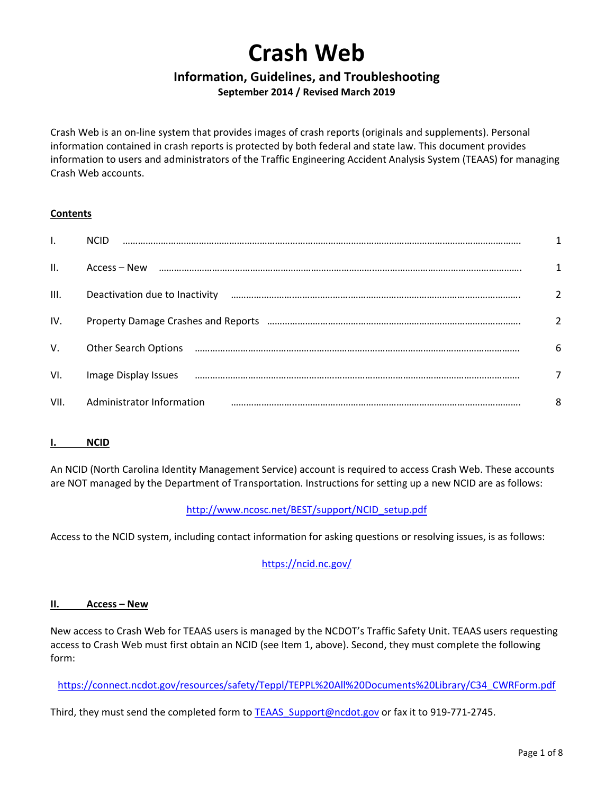# **Crash Web**

# **Information, Guidelines, and Troubleshooting**

**September 2014 / Revised March 2019**

Crash Web is an on‐line system that provides images of crash reports (originals and supplements). Personal information contained in crash reports is protected by both federal and state law. This document provides information to users and administrators of the Traffic Engineering Accident Analysis System (TEAAS) for managing Crash Web accounts.

## **Contents**

|                 | <b>NCID</b>                                                                          | 1 |
|-----------------|--------------------------------------------------------------------------------------|---|
| $\mathbf{II}$ . | Access – New minimum minimum minimum minimum minimum minimum minimum minimum minimum | 1 |
| III.            |                                                                                      | 2 |
| IV.             |                                                                                      | 2 |
| V.              |                                                                                      | 6 |
| VI.             | Image Display Issues                                                                 | 7 |
| VII.            | Administrator Information                                                            | 8 |

#### **I. NCID**

An NCID (North Carolina Identity Management Service) account is required to access Crash Web. These accounts are NOT managed by the Department of Transportation. Instructions for setting up a new NCID are as follows:

## http://www.ncosc.net/BEST/support/NCID\_setup.pdf

Access to the NCID system, including contact information for asking questions or resolving issues, is as follows:

## https://ncid.nc.gov/

#### **II. Access – New**

New access to Crash Web for TEAAS users is managed by the NCDOT's Traffic Safety Unit. TEAAS users requesting access to Crash Web must first obtain an NCID (see Item 1, above). Second, they must complete the following form:

https://connect.ncdot.gov/resources/safety/Teppl/TEPPL%20All%20Documents%20Library/C34\_CWRForm.pdf

Third, they must send the completed form to TEAAS\_Support@ncdot.gov or fax it to 919-771-2745.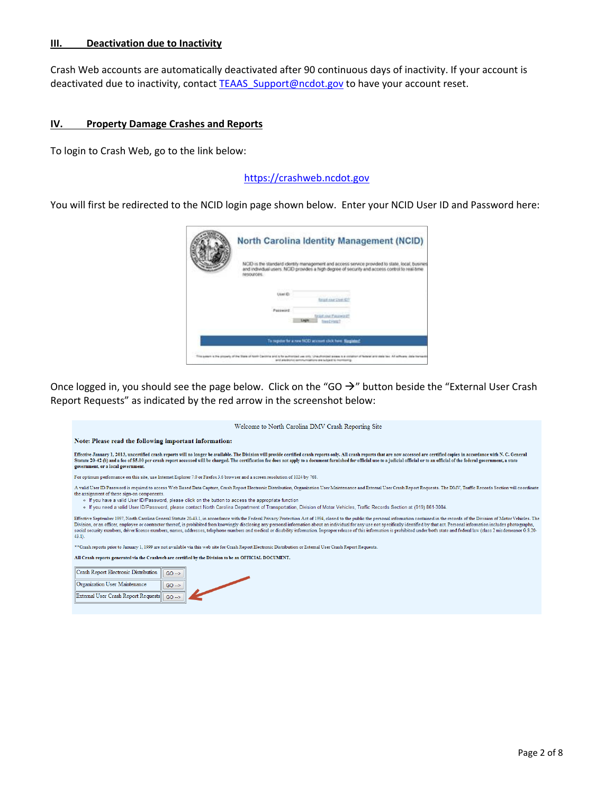#### **III. Deactivation due to Inactivity**

Crash Web accounts are automatically deactivated after 90 continuous days of inactivity. If your account is deactivated due to inactivity, contact TEAAS\_Support@ncdot.gov to have your account reset.

#### **IV. Property Damage Crashes and Reports**

 $\sqrt{GO}$ 

External User Crash Report Requests GO ...>

To login to Crash Web, go to the link below:

#### https://crashweb.ncdot.gov

You will first be redirected to the NCID login page shown below. Enter your NCID User ID and Password here:



Once logged in, you should see the page below. Click on the "GO  $\rightarrow$ " button beside the "External User Crash Report Requests" as indicated by the red arrow in the screenshot below:

| Welcome to North Carolina DMV Crash Reporting Site                                                                                                                                                                                                                                                                                                                                                                                                                                                                                                                                                                                                                                                              |
|-----------------------------------------------------------------------------------------------------------------------------------------------------------------------------------------------------------------------------------------------------------------------------------------------------------------------------------------------------------------------------------------------------------------------------------------------------------------------------------------------------------------------------------------------------------------------------------------------------------------------------------------------------------------------------------------------------------------|
| Note: Please read the following important information:                                                                                                                                                                                                                                                                                                                                                                                                                                                                                                                                                                                                                                                          |
| Effective January 1, 2013, uncertified crash reports will no longer be available. The Division will provide certified crash reports only. All crash reports that are now accessed are certified copies in accordance with N. C<br>Statute 20-42 (b) and a fee of \$5.00 per crash report accessed will be charged. The certification fee does not apply to a document furnished for official use to a judicial official or to an official of the federal governme<br>government, or a local government.                                                                                                                                                                                                         |
| For optimum performance on this site, use Internet Explorer 7.0 or Firefox 3.6 browser and a screen resolution of 1024 by 768.                                                                                                                                                                                                                                                                                                                                                                                                                                                                                                                                                                                  |
| A valid User ID/Password is required to access Web Based Data Capture, Crash Report Electronic Distribution, Organization User Maintenance and External User Crash Report Requests. The DMV, Traffic Records Section will coor<br>the assignment of these sign-on components.<br>o If you have a valid User ID/Password, please click on the button to access the appropriate function<br>o If you need a valid User ID/Password, please contact North Carolina Department of Transportation, Division of Motor Vehicles, Traffic Records Section at (919) 861-3084.                                                                                                                                            |
| Effective September 1997, North Carolina General Statute 20-43.1, in accordance with the Federal Privacy Protection Act of 1994, closed to the public the personal information contained in the records of the Division of Mot<br>Division, or an officer, employee or contractor thereof, is prohibited from knowingly disclosing any personal information about an individual for any use not specifically identified by that act. Personal information includ<br>social security numbers, driver license numbers, names, addresses, telephone numbers and medical or disability information. Improper release of this information is prohibited under both state and federal law (class 2 misde<br>$43.1$ ). |
| **Crash reports prior to January 1, 1999 are not available via this web site for Crash Report Electronic Distribution or External User Crash Report Requests.                                                                                                                                                                                                                                                                                                                                                                                                                                                                                                                                                   |
| All Crash reports generated via the Crashweb are certified by the Division to be an OFFICIAL DOCUMENT.                                                                                                                                                                                                                                                                                                                                                                                                                                                                                                                                                                                                          |
| Crash Report Electronic Distribution<br>$GO \rightarrow$<br>Organization User Maintenance<br>$GO \rightarrow$                                                                                                                                                                                                                                                                                                                                                                                                                                                                                                                                                                                                   |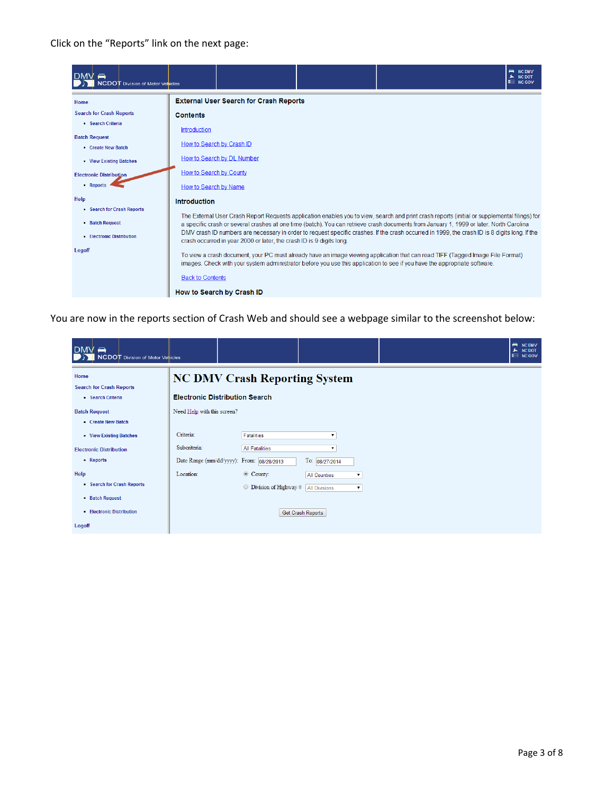## Click on the "Reports" link on the next page:

| $DMV \rightarrow$<br><b>NCDOT</b> Division of Motor Venicles                                                                                                     | $\Box$ NC GOV                                                                                                                                                                                                                                                                                                                                                                                                                                                                                                                                                                                                                                                                                                                                                                                                                                               | NC DMV<br><b>NC DOT</b> |
|------------------------------------------------------------------------------------------------------------------------------------------------------------------|-------------------------------------------------------------------------------------------------------------------------------------------------------------------------------------------------------------------------------------------------------------------------------------------------------------------------------------------------------------------------------------------------------------------------------------------------------------------------------------------------------------------------------------------------------------------------------------------------------------------------------------------------------------------------------------------------------------------------------------------------------------------------------------------------------------------------------------------------------------|-------------------------|
| Home                                                                                                                                                             | <b>External User Search for Crash Reports</b>                                                                                                                                                                                                                                                                                                                                                                                                                                                                                                                                                                                                                                                                                                                                                                                                               |                         |
| <b>Search for Crash Reports</b><br>Search Criteria<br><b>Batch Request</b><br>Create New Batch<br><b>View Existing Batches</b><br><b>Electronic Distribution</b> | <b>Contents</b><br>Introduction<br>How to Search by Crash ID<br>How to Search by DL Number<br><b>How to Search by County</b>                                                                                                                                                                                                                                                                                                                                                                                                                                                                                                                                                                                                                                                                                                                                |                         |
| - Reports<br>Help<br>Search for Crash Reports<br><b>Batch Request</b><br><b>Electronic Distribution</b><br>Logoff                                                | How to Search by Name<br><b>Introduction</b><br>The External User Crash Report Requests application enables you to view, search and print crash reports (initial or supplemental filings) for<br>a specific crash or several crashes at one time (batch). You can retrieve crash documents from January 1, 1999 or later. North Carolina<br>DMV crash ID numbers are necessary in order to request specific crashes. If the crash occurred in 1999, the crash ID is 8 digits long. If the<br>crash occurred in year 2000 or later, the crash ID is 9 digits long.<br>To view a crash document, your PC must already have an image viewing application that can read TIFF (Tagged Image File Format)<br>images. Check with your system administrator before you use this application to see if you have the appropriate software.<br><b>Back to Contents</b> |                         |
|                                                                                                                                                                  | How to Search by Crash ID                                                                                                                                                                                                                                                                                                                                                                                                                                                                                                                                                                                                                                                                                                                                                                                                                                   |                         |

You are now in the reports section of Crash Web and should see a webpage similar to the screenshot below:

| $DMV \rightarrow$<br>NCDOT Division of Motor Vehicles            |                                                                               |                                                             |                                                                    | R NC DMV<br>A NC DOT<br><b>E NC GOV</b> |
|------------------------------------------------------------------|-------------------------------------------------------------------------------|-------------------------------------------------------------|--------------------------------------------------------------------|-----------------------------------------|
| Home<br><b>Search for Crash Reports</b><br>- Search Criteria     | <b>NC DMV Crash Reporting System</b><br><b>Electronic Distribution Search</b> |                                                             |                                                                    |                                         |
| <b>Batch Request</b><br>Create New Batch                         | Need Help with this screen?                                                   |                                                             |                                                                    |                                         |
| <b>View Existing Batches</b><br><b>Electronic Distribution</b>   | Criteria:<br>Subcriteria:                                                     | <b>Fatalities</b><br>All Fatalities                         |                                                                    |                                         |
| - Reports<br>Help<br>Search for Crash Reports                    | Date Range (mm/dd/yyyy): From: 08/28/2013<br>Location:                        | © County:<br>$\circ$ Division of Highway $\#$ All Divisions | To: 08/27/2014<br><b>All Counties</b><br>$\boldsymbol{\mathrm{v}}$ |                                         |
| <b>Batch Request</b><br><b>Electronic Distribution</b><br>Logoff |                                                                               |                                                             | Get Crash Reports                                                  |                                         |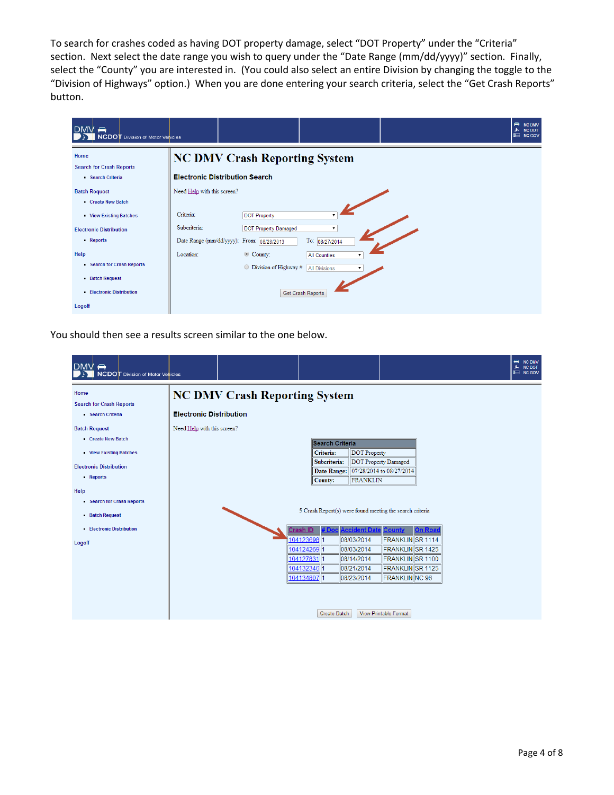To search for crashes coded as having DOT property damage, select "DOT Property" under the "Criteria" section. Next select the date range you wish to query under the "Date Range (mm/dd/yyyy)" section. Finally, select the "County" you are interested in. (You could also select an entire Division by changing the toggle to the "Division of Highways" option.) When you are done entering your search criteria, select the "Get Crash Reports" button.

| $DMV \rightleftharpoons$<br><b>NCDOT</b> Division of Motor Vehicles                        |                                          |                                                                          |                                                                  | R NC DMV<br>A NC DOT<br><b>E</b> NC GOV |
|--------------------------------------------------------------------------------------------|------------------------------------------|--------------------------------------------------------------------------|------------------------------------------------------------------|-----------------------------------------|
| Home<br><b>Search for Crash Reports</b><br>- Search Criteria                               | <b>Electronic Distribution Search</b>    | <b>NC DMV Crash Reporting System</b>                                     |                                                                  |                                         |
| <b>Batch Request</b><br>Create New Batch<br><b>View Existing Batches</b>                   | Need Help with this screen?<br>Criteria: | <b>DOT Property</b>                                                      |                                                                  |                                         |
| <b>Electronic Distribution</b><br>- Reports                                                | Subcriteria:                             | <b>DOT Property Damaged</b><br>Date Range (mm/dd/yyyy): From: 08/28/2013 | To: 08/27/2014                                                   |                                         |
| Help<br>Search for Crash Reports<br><b>Batch Request</b><br><b>Electronic Distribution</b> | Location:                                | © County:<br>$\bullet$ Division of Highway #                             | <b>All Counties</b><br><b>All Divisions</b><br>Get Crash Reports |                                         |
| Logoff                                                                                     |                                          |                                                                          |                                                                  |                                         |

You should then see a results screen similar to the one below.

| $DMV \rightarrow$<br>NCDOT Division of Motor Venicles                                                                                                                                                                                                                                         |                                                               |                                      |                                                                                                                                                                                                                                                                                                                                                                                                        |                                                                                                                                                                                                                      | ⇔<br><b>NC DMV</b><br>٨<br><b>NC DOT</b><br><b>E NC GOV</b> |
|-----------------------------------------------------------------------------------------------------------------------------------------------------------------------------------------------------------------------------------------------------------------------------------------------|---------------------------------------------------------------|--------------------------------------|--------------------------------------------------------------------------------------------------------------------------------------------------------------------------------------------------------------------------------------------------------------------------------------------------------------------------------------------------------------------------------------------------------|----------------------------------------------------------------------------------------------------------------------------------------------------------------------------------------------------------------------|-------------------------------------------------------------|
| Home<br><b>Search for Crash Reports</b><br>Search Criteria<br><b>Batch Request</b><br>Create New Batch<br><b>View Existing Batches</b><br><b>Electronic Distribution</b><br>- Reports<br>Help<br>Search for Crash Reports<br><b>Batch Request</b><br><b>Electronic Distribution</b><br>Logoff | <b>Electronic Distribution</b><br>Need Help with this screen? | <b>NC DMV Crash Reporting System</b> | <b>Search Criteria</b><br><b>DOT</b> Property<br>Criteria:<br>Subcriteria:<br>Date Range:<br><b>FRANKLIN</b><br>County:<br>5 Crash Report(s) were found meeting the search criteria<br><b>Accident Dat</b><br>Crash ID<br>l# Do<br>104123698 1<br>08/03/2014<br>104124269 1<br>08/03/2014<br>1041278311<br>08/14/2014<br>104132346 1<br>08/21/2014<br>104134807 1<br>08/23/2014<br><b>Create Batch</b> | <b>DOT</b> Property Damaged<br>07/28/2014 to 08/27/2014<br><b>On Road</b><br>County<br>FRANKLIN SR 1114<br><b>FRANKLIN</b> SR 1425<br>FRANKLINSR 1100<br>FRANKLIN SR 1125<br>FRANKLIN NC 96<br>View Printable Format |                                                             |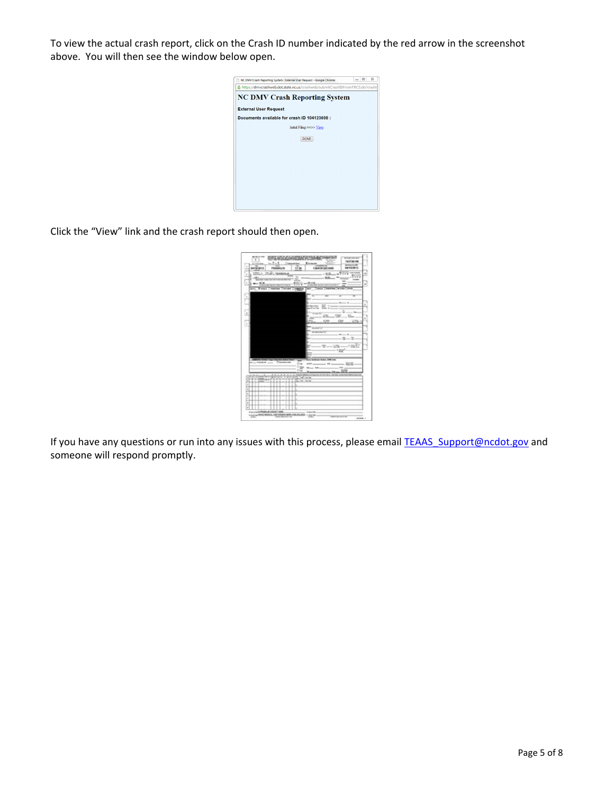To view the actual crash report, click on the Crash ID number indicated by the red arrow in the screenshot above. You will then see the window below open.



Click the "View" link and the crash report should then open.

| ï<br>٠<br>J<br>ż<br>m.              | <b>RIFE HOLEAN COACH PITAL BUV</b>         | "Little                 | <b>Single Monday</b><br>Histories        |
|-------------------------------------|--------------------------------------------|-------------------------|------------------------------------------|
| 04163013<br><b>FIGHANIA IN</b>      | <b>13.36</b>                               | 130418133CA44           | terbisco in MF<br>54153911               |
| 1445<br>u,<br>ALCOHOL:              |                                            | (113)                   | <b>USE SERIES</b><br>77<br><b>BENSIN</b> |
| $-183$                              | $\overline{1}$<br>÷                        | ÷                       | 19889                                    |
| $m = 25.25$<br>t                    | 1009-1008                                  |                         | m<br>$-$                                 |
| ant, Ricky Cromes                   | <b>Company</b><br>Competition              | <b>Home</b><br>-        | with Cor                                 |
|                                     |                                            | w                       | ×<br>×                                   |
|                                     |                                            |                         |                                          |
|                                     |                                            | state.                  |                                          |
|                                     |                                            | 126<br>dia la           |                                          |
|                                     |                                            | $-1$<br><b>Har</b><br>÷ |                                          |
|                                     |                                            | --                      |                                          |
|                                     |                                            | ize                     | <b>CHI</b><br>49%<br>٠                   |
|                                     |                                            | $1 - 2 - 1$             |                                          |
|                                     |                                            | $\rightarrow$           |                                          |
|                                     |                                            |                         |                                          |
|                                     |                                            |                         |                                          |
|                                     |                                            | ÷                       | $-1$                                     |
|                                     |                                            |                         | <b>CALL CALL</b>                         |
|                                     |                                            |                         |                                          |
| $-$<br><b>Many President Common</b> | and the following<br>Changes over<br>$0 -$ | --<br>4.94              |                                          |
|                                     | Cw<br>$\rightarrow$                        |                         | $\cdots$<br>٠                            |
|                                     | c.                                         |                         | $-$                                      |
| Tripoles<br>t<br>x                  | ÷<br>٦<br>×<br>ä.                          | 14.16                   |                                          |
|                                     | $-115$                                     | <b>SALTE</b>            |                                          |
|                                     |                                            |                         |                                          |
|                                     |                                            |                         |                                          |
|                                     |                                            |                         |                                          |
|                                     |                                            |                         |                                          |
|                                     | Ŀ                                          |                         |                                          |
| <b>Floored/RMSAS</b>                | u                                          |                         |                                          |

If you have any questions or run into any issues with this process, please email TEAAS\_Support@ncdot.gov and someone will respond promptly.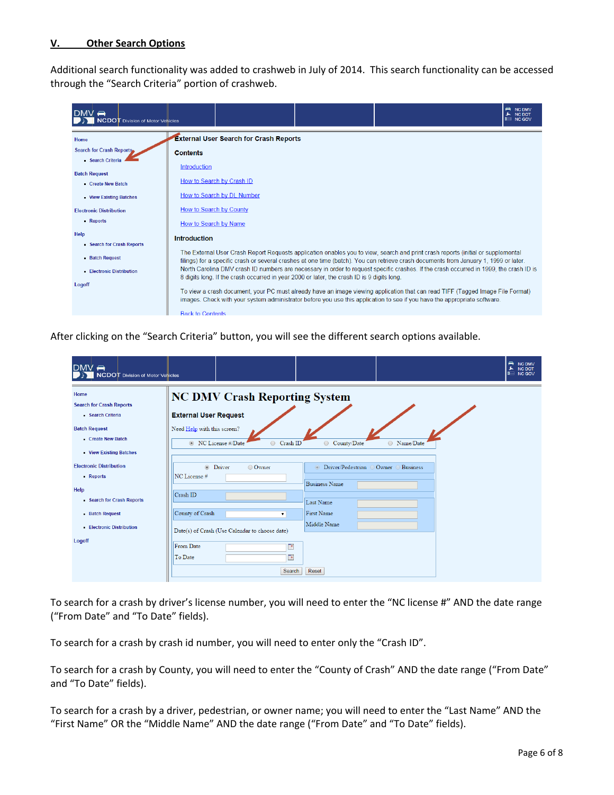#### **V. Other Search Options**

Additional search functionality was added to crashweb in July of 2014. This search functionality can be accessed through the "Search Criteria" portion of crashweb.

| $DMV \rightleftharpoons$<br><b>NCDOT</b> Division of Motor Vehicles | <b>NC DMV</b><br><b>NC DOT</b><br><b>E NC GOV</b>                                                                                                                                                                                                                         |  |
|---------------------------------------------------------------------|---------------------------------------------------------------------------------------------------------------------------------------------------------------------------------------------------------------------------------------------------------------------------|--|
| Home                                                                | <b>External User Search for Crash Reports</b>                                                                                                                                                                                                                             |  |
| <b>Search for Crash Reports.</b>                                    | <b>Contents</b>                                                                                                                                                                                                                                                           |  |
| Search Criteria                                                     | Introduction                                                                                                                                                                                                                                                              |  |
| <b>Batch Request</b>                                                |                                                                                                                                                                                                                                                                           |  |
| Create New Batch                                                    | How to Search by Crash ID                                                                                                                                                                                                                                                 |  |
| <b>View Existing Batches</b>                                        | How to Search by DL Number                                                                                                                                                                                                                                                |  |
| <b>Electronic Distribution</b>                                      | How to Search by County                                                                                                                                                                                                                                                   |  |
| - Reports                                                           | How to Search by Name                                                                                                                                                                                                                                                     |  |
| Help                                                                | <b>Introduction</b>                                                                                                                                                                                                                                                       |  |
| Search for Crash Reports                                            |                                                                                                                                                                                                                                                                           |  |
| <b>Batch Request</b>                                                | The External User Crash Report Requests application enables you to view, search and print crash reports (initial or supplemental<br>filings) for a specific crash or several crashes at one time (batch). You can retrieve crash documents from January 1, 1999 or later. |  |
| <b>Electronic Distribution</b>                                      | North Carolina DMV crash ID numbers are necessary in order to request specific crashes. If the crash occurred in 1999, the crash ID is<br>8 digits long. If the crash occurred in year 2000 or later, the crash ID is 9 digits long.                                      |  |
| Logoff                                                              | To view a crash document, your PC must already have an image viewing application that can read TIFF (Tagged Image File Format)                                                                                                                                            |  |
|                                                                     | images. Check with your system administrator before you use this application to see if you have the appropriate software.                                                                                                                                                 |  |
|                                                                     | <b>Back to Contents</b>                                                                                                                                                                                                                                                   |  |

After clicking on the "Search Criteria" button, you will see the different search options available.

| $DMV \rightarrow$<br><b>NCDOT</b> Division of Motor Vehicles                                                                                   |                                                                                                           |                                                                                     |                                                                                              |                          | ≘<br>NC DMV<br>NC DOT<br>٨<br><b>E NC GOV</b> |
|------------------------------------------------------------------------------------------------------------------------------------------------|-----------------------------------------------------------------------------------------------------------|-------------------------------------------------------------------------------------|----------------------------------------------------------------------------------------------|--------------------------|-----------------------------------------------|
| Home<br><b>Search for Crash Reports</b><br>Search Criteria<br><b>Batch Request</b><br>Create New Batch<br><b>View Existing Batches</b>         | <b>External User Request</b><br>Need Help with this screen?<br>● NC License #/Date                        | <b>NC DMV Crash Reporting System</b><br>Crash <sub>ID</sub><br>$\circ$              | County/Date<br>$\circ$                                                                       | ○ Name/Date              |                                               |
| <b>Electronic Distribution</b><br>- Reports<br>Help<br>Search for Crash Reports<br>- Batch Request<br><b>Electronic Distribution</b><br>Logoff | $\circledcirc$<br>Driver<br>NC License#<br>Crash <sub>ID</sub><br>County of Crash<br>From Date<br>To Date | O Owner<br>Date(s) of Crash (Use Calendar to choose date)<br>$\Box$<br>m,<br>Search | Driver/Pedestrian<br><b>Business Name</b><br>Last Name<br>First Name<br>Middle Name<br>Reset | Owner<br><b>Business</b> |                                               |

To search for a crash by driver's license number, you will need to enter the "NC license #" AND the date range ("From Date" and "To Date" fields).

To search for a crash by crash id number, you will need to enter only the "Crash ID".

To search for a crash by County, you will need to enter the "County of Crash" AND the date range ("From Date" and "To Date" fields).

To search for a crash by a driver, pedestrian, or owner name; you will need to enter the "Last Name" AND the "First Name" OR the "Middle Name" AND the date range ("From Date" and "To Date" fields).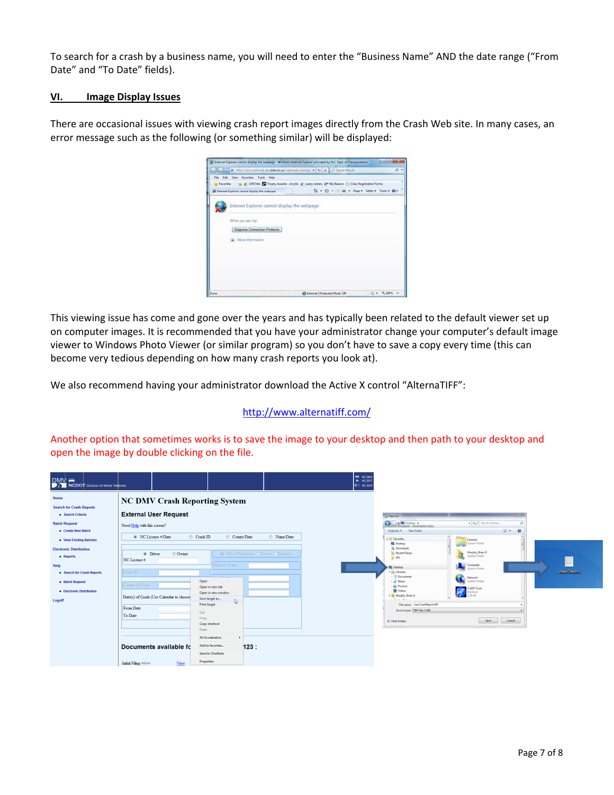To search for a crash by a business name, you will need to enter the "Business Name" AND the date range ("From Date" and "To Date" fields).

#### **VI. Image Display Issues**

There are occasional issues with viewing crash report images directly from the Crash Web site. In many cases, an error message such as the following (or something similar) will be displayed:

| de Favorites. | <sup>29</sup> Internet Explorer cannot display the webpage | CISTINE Trophy Awards - Acrylic # query rosters # My Beacon (-) Class Registration Forms<br>Q - 図 - 二 m - Page - Safety - Tools - O - |             |
|---------------|------------------------------------------------------------|---------------------------------------------------------------------------------------------------------------------------------------|-------------|
|               | Internet Explorer cannot display the webpage               |                                                                                                                                       |             |
|               | What you can try:                                          |                                                                                                                                       |             |
|               | Diagnose Connection Problems                               |                                                                                                                                       |             |
|               | (a) More information                                       |                                                                                                                                       |             |
|               |                                                            |                                                                                                                                       |             |
|               |                                                            |                                                                                                                                       |             |
|               |                                                            |                                                                                                                                       |             |
|               |                                                            |                                                                                                                                       |             |
| <b>Done</b>   |                                                            | Distanced   Protected Mode: Off                                                                                                       | (公) 电100% 。 |

This viewing issue has come and gone over the years and has typically been related to the default viewer set up on computer images. It is recommended that you have your administrator change your computer's default image viewer to Windows Photo Viewer (or similar program) so you don't have to save a copy every time (this can become very tedious depending on how many crash reports you look at).

We also recommend having your administrator download the Active X control "AlternaTIFF":

## http://www.alternatiff.com/

Another option that sometimes works is to save the image to your desktop and then path to your desktop and open the image by double clicking on the file.

| DMV REPORT Division of Motor Vehicles                                                                                       |                                                                                                                                                                                                                                                      | $M$ NC DMV<br>A NC DOT<br><b>III</b> NC GOV |                                                                                                                                                                                                                                                                                                                                         |           |
|-----------------------------------------------------------------------------------------------------------------------------|------------------------------------------------------------------------------------------------------------------------------------------------------------------------------------------------------------------------------------------------------|---------------------------------------------|-----------------------------------------------------------------------------------------------------------------------------------------------------------------------------------------------------------------------------------------------------------------------------------------------------------------------------------------|-----------|
| Home<br><b>Search for Crash Reports</b><br>Search Criteria<br><b>Batch Request</b><br>Create New Batch                      | <b>NC DMV Crash Reporting System</b><br><b>External User Request</b><br>Need Help with this screen?                                                                                                                                                  |                                             | Save As<br>$\bullet$<br>+ 4 Search Desktop<br>Pu Desktop +<br>$E - 0$<br>Organize v New folder                                                                                                                                                                                                                                          | ٩         |
| - View Existing Batches<br><b>Electronic Distribution</b><br>- Reports<br>Help<br>Search for Crash Reports<br>Batch Request | O NC License #/Date<br>County/Date<br>Crash ID<br><b>O</b> Driver/Pedestrian O Owner O Business<br><sup>O</sup> Driver<br>© Owner<br>NC License #<br><b>Business Name</b><br>Crash ID<br><b>CATCOL</b><br>Open<br>County of Crash<br>Open in new tab | <b>Name/Date</b>                            | - Sir Favorites<br>Libraries<br><b>Desktop</b><br>System Folder<br><b>Downloads</b><br>Murphy, Brian G<br><b>EL Recent Places</b><br>System Folder<br><b>IL SPS</b><br>Computer<br><b>R</b> Desktop<br>System Folder<br><b>Call</b> Libraries<br>Documents<br>Network<br>Œ<br>System Folder<br>A Music<br>Pictures<br><b>CADD Tools</b> | viewCrash |
| <b>Electronic Distribution</b><br>Logoff                                                                                    | Open in new window<br>Date(s) of Crash (Use Calendar to choose<br>Save target as<br>$\mathbb{Q}$<br><b>Print target</b><br>From Date<br>Cut<br>To Date<br>Copy<br>Copy shortcut<br>Paste                                                             |                                             | Videos<br>Shortcut<br><sup>4</sup> B. Murphy, Brian G.<br>$10.1 - 10$<br>File name: viewCrashReport.tiff<br>Save as type: TIFF File (*.tiff)<br>Save<br>Cancel<br>(m) Hide Folders                                                                                                                                                      |           |
|                                                                                                                             | <b>All Accelerators</b><br>Add to favorites<br>Documents available fo<br>123:<br><b>Send to OneNote</b><br><b>Properties</b><br>Initial Filing $=\gg$<br>View                                                                                        |                                             |                                                                                                                                                                                                                                                                                                                                         |           |